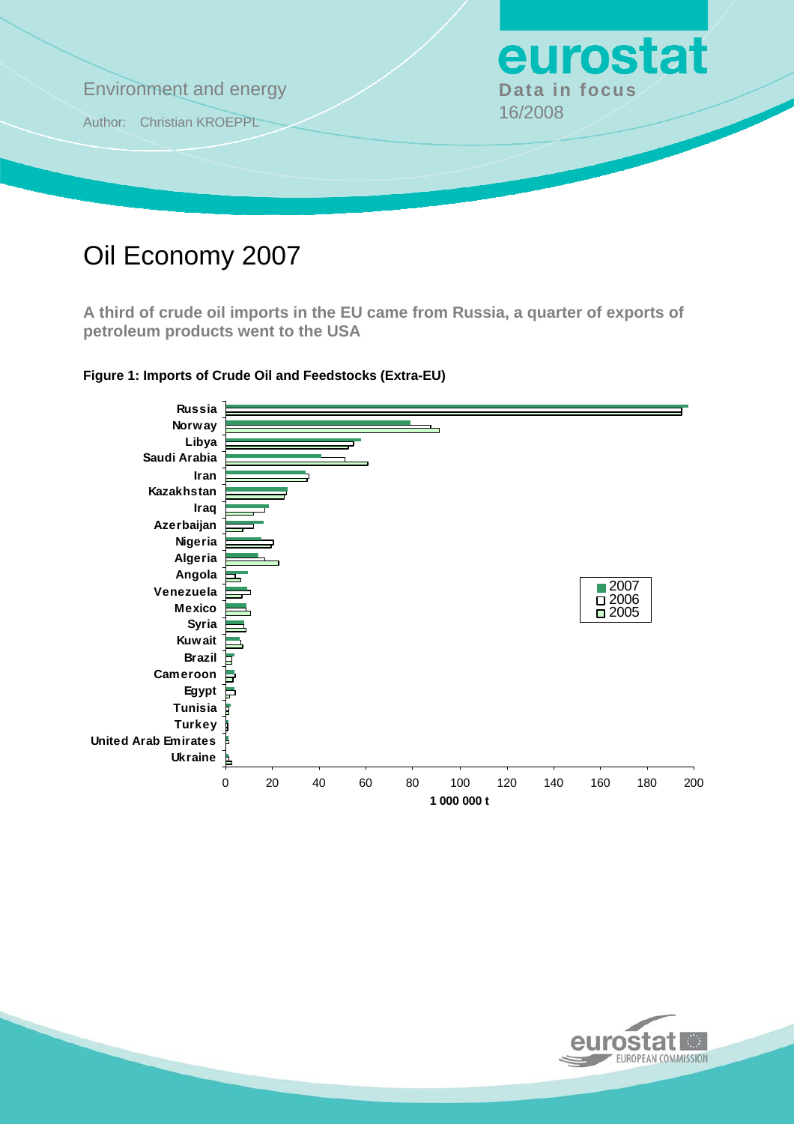

# Oil Economy 2007

**A third of crude oil imports in the EU came from Russia, a quarter of exports of petroleum products went to the USA** 



**Figure 1: Imports of Crude Oil and Feedstocks (Extra-EU)** 

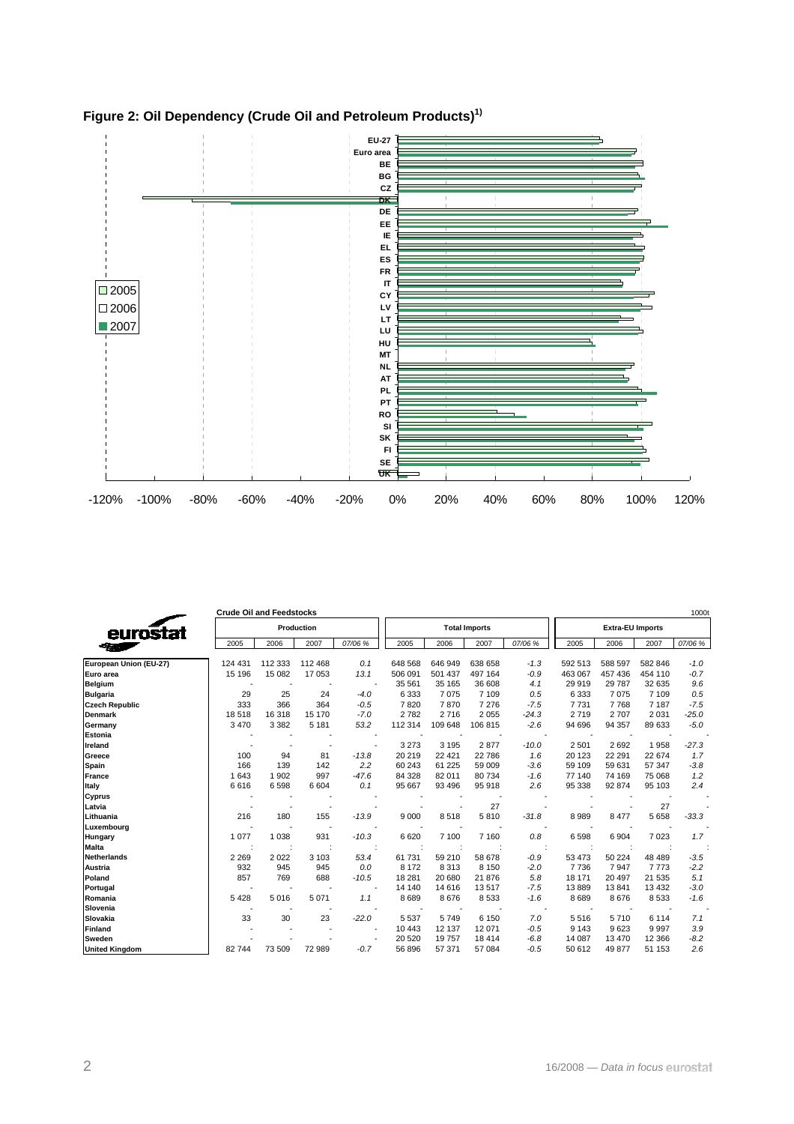

# **Figure 2: Oil Dependency (Crude Oil and Petroleum Products)1)**

|                        | <b>Crude Oil and Feedstocks</b> |                          |                          |                          |         |         |                      |         |                         |         |         | 1000t   |  |
|------------------------|---------------------------------|--------------------------|--------------------------|--------------------------|---------|---------|----------------------|---------|-------------------------|---------|---------|---------|--|
| eurostat               |                                 |                          | Production               |                          |         |         | <b>Total Imports</b> |         | <b>Extra-EU Imports</b> |         |         |         |  |
|                        | 2005                            | 2006                     | 2007                     | 07/06 %                  | 2005    | 2006    | 2007                 | 07/06 % | 2005                    | 2006    | 2007    | 07/06 % |  |
| European Union (EU-27) | 124 431                         | 112 333                  | 112 468                  | 0.1                      | 648 568 | 646 949 | 638 658              | $-1.3$  | 592 513                 | 588 597 | 582 846 | $-1.0$  |  |
| Euro area              | 15 196                          | 15 082                   | 17053                    | 13.1                     | 506 091 | 501 437 | 497 164              | $-0.9$  | 463 067                 | 457 436 | 454 110 | $-0.7$  |  |
| Belgium                | <b>.</b>                        | $\overline{\phantom{a}}$ | $\overline{\phantom{a}}$ | $\overline{\phantom{a}}$ | 35 561  | 35 165  | 36 608               | 4.1     | 29 919                  | 29 787  | 32 635  | 9.6     |  |
| <b>Bulgaria</b>        | 29                              | 25                       | 24                       | $-4.0$                   | 6 3 3 3 | 7075    | 7 109                | 0.5     | 6 3 3 3                 | 7075    | 7 1 0 9 | 0.5     |  |
| <b>Czech Republic</b>  | 333                             | 366                      | 364                      | $-0.5$                   | 7820    | 7870    | 7 2 7 6              | $-7.5$  | 7731                    | 7768    | 7 1 8 7 | $-7.5$  |  |
| Denmark                | 18 518                          | 16 318                   | 15 170                   | $-7.0$                   | 2782    | 2716    | 2 0 5 5              | $-24.3$ | 2719                    | 2707    | 2 0 3 1 | $-25.0$ |  |
| Germany                | 3 4 7 0                         | 3 3 8 2                  | 5 1 8 1                  | 53.2                     | 112 314 | 109 648 | 106 815              | $-2.6$  | 94 696                  | 94 357  | 89 633  | $-5.0$  |  |
| Estonia                |                                 |                          |                          |                          |         |         |                      |         |                         |         |         |         |  |
| Ireland                |                                 |                          |                          |                          | 3 2 7 3 | 3 1 9 5 | 2877                 | $-10.0$ | 2 5 0 1                 | 2692    | 1958    | $-27.3$ |  |
| Greece                 | 100                             | 94                       | 81                       | $-13.8$                  | 20 219  | 22 4 21 | 22 786               | 1.6     | 20 123                  | 22 291  | 22 674  | 1.7     |  |
| Spain                  | 166                             | 139                      | 142                      | 2.2                      | 60 243  | 61 225  | 59 009               | $-3.6$  | 59 109                  | 59 631  | 57 347  | $-3.8$  |  |
| France                 | 1 6 4 3                         | 1 9 0 2                  | 997                      | $-47.6$                  | 84 328  | 82 011  | 80 734               | $-1.6$  | 77 140                  | 74 169  | 75 068  | 1.2     |  |
| Italy                  | 6616                            | 6598                     | 6604                     | 0.1                      | 95 667  | 93 496  | 95 918               | 2.6     | 95 338                  | 92 874  | 95 103  | 2.4     |  |
| Cyprus                 |                                 |                          |                          |                          |         |         |                      |         |                         |         |         |         |  |
| Latvia                 |                                 |                          |                          |                          |         |         | 27                   |         |                         |         | 27      |         |  |
| Lithuania              | 216                             | 180                      | 155                      | $-13.9$                  | 9 0 0 0 | 8518    | 5810                 | $-31.8$ | 8989                    | 8 4 7 7 | 5658    | $-33.3$ |  |
| Luxembourg             |                                 |                          |                          |                          |         |         |                      |         |                         |         |         |         |  |
| Hungary                | 1 0 7 7                         | 1 0 3 8                  | 931                      | $-10.3$                  | 6620    | 7 100   | 7 1 6 0              | 0.8     | 6598                    | 6 9 0 4 | 7023    | 1.7     |  |
| <b>Malta</b>           |                                 |                          |                          |                          |         |         |                      |         |                         |         |         |         |  |
| <b>Netherlands</b>     | 2 2 6 9                         | 2 0 2 2                  | 3 1 0 3                  | 53.4                     | 61 731  | 59 210  | 58 678               | $-0.9$  | 53 473                  | 50 224  | 48 4 89 | $-3.5$  |  |
| Austria                | 932                             | 945                      | 945                      | 0.0                      | 8 1 7 2 | 8313    | 8 1 5 0              | $-2.0$  | 7736                    | 7947    | 7773    | $-2.2$  |  |
| Poland                 | 857                             | 769                      | 688                      | $-10.5$                  | 18 281  | 20 680  | 21 876               | 5.8     | 18 171                  | 20 497  | 21 535  | 5.1     |  |
| Portugal               |                                 |                          |                          |                          | 14 140  | 14 616  | 13517                | $-7.5$  | 13889                   | 13841   | 13 4 32 | $-3.0$  |  |
| Romania                | 5 4 2 8                         | 5016                     | 5 0 7 1                  | 1.1                      | 8 6 8 9 | 8676    | 8 5 3 3              | $-1.6$  | 8689                    | 8676    | 8533    | $-1.6$  |  |
| Slovenia               |                                 |                          |                          |                          |         |         |                      |         |                         |         |         |         |  |
| Slovakia               | 33                              | 30                       | 23                       | $-22.0$                  | 5 5 3 7 | 5749    | 6 150                | 7.0     | 5516                    | 5710    | 6 1 1 4 | 7.1     |  |
| Finland                |                                 |                          |                          |                          | 10 443  | 12 137  | 12 071               | $-0.5$  | 9 1 4 3                 | 9623    | 9997    | 3.9     |  |
| Sweden                 |                                 |                          |                          |                          | 20 5 20 | 19757   | 18 4 14              | $-6.8$  | 14 087                  | 13 470  | 12 3 66 | $-8.2$  |  |
| <b>United Kingdom</b>  | 82 744                          | 73 509                   | 72 989                   | $-0.7$                   | 56 896  | 57 371  | 57 084               | $-0.5$  | 50 612                  | 49 877  | 51 153  | 2.6     |  |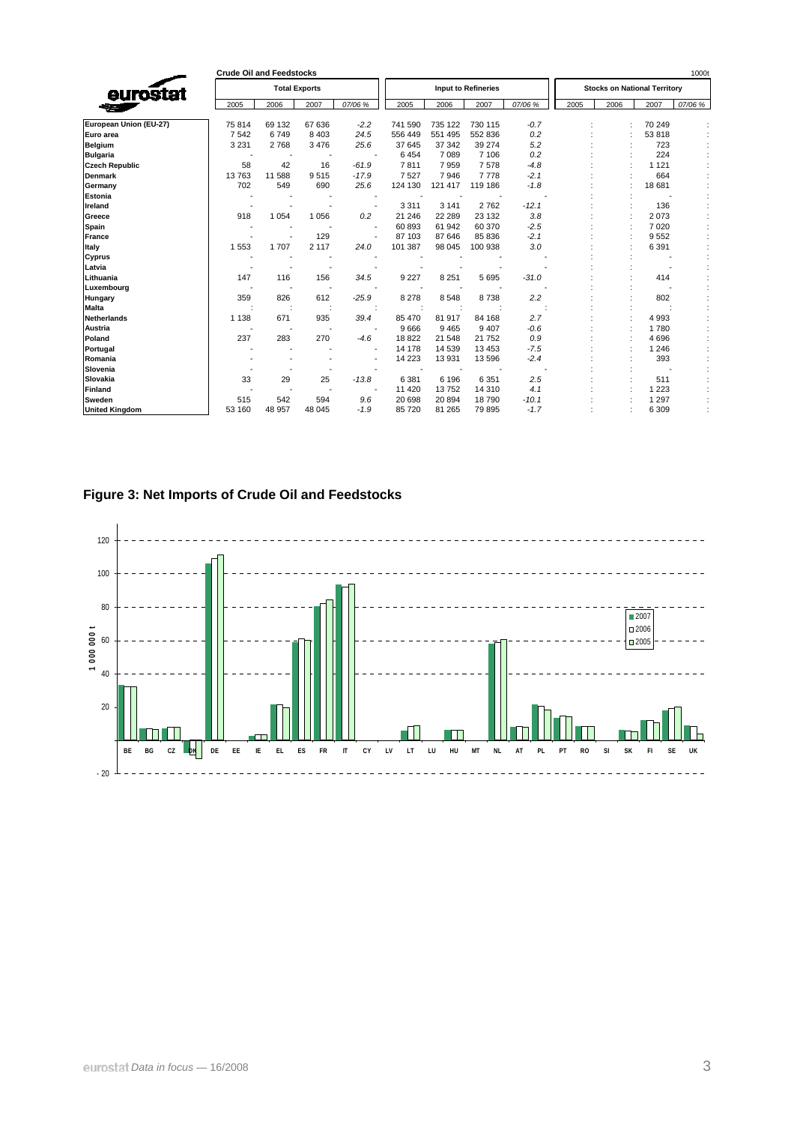|                        | <b>Crude Oil and Feedstocks</b> |         |                      |         |         |         |                            |         |                                     |      |         | 1000t   |
|------------------------|---------------------------------|---------|----------------------|---------|---------|---------|----------------------------|---------|-------------------------------------|------|---------|---------|
| eurostat               |                                 |         | <b>Total Exports</b> |         |         |         | <b>Input to Refineries</b> |         | <b>Stocks on National Territory</b> |      |         |         |
|                        | 2005                            | 2006    | 2007                 | 07/06 % | 2005    | 2006    | 2007                       | 07/06 % | 2005                                | 2006 | 2007    | 07/06 % |
| European Union (EU-27) | 75 814                          | 69 132  | 67 636               | $-2.2$  | 741 590 | 735 122 | 730 115                    | $-0.7$  |                                     |      | 70 249  |         |
| Euro area              | 7 5 4 2                         | 6749    | 8 4 0 3              | 24.5    | 556 449 | 551 495 | 552 836                    | 0.2     |                                     |      | 53818   |         |
| <b>Belgium</b>         | 3 2 3 1                         | 2768    | 3476                 | 25.6    | 37 645  | 37 342  | 39 274                     | 5.2     |                                     |      | 723     |         |
| <b>Bulgaria</b>        |                                 |         |                      |         | 6454    | 7089    | 7 10 6                     | 0.2     |                                     |      | 224     |         |
| <b>Czech Republic</b>  | 58                              | 42      | 16                   | $-61.9$ | 7811    | 7959    | 7578                       | $-4.8$  |                                     |      | 1 1 2 1 |         |
| <b>Denmark</b>         | 13763                           | 11 588  | 9515                 | $-17.9$ | 7527    | 7946    | 7778                       | $-2.1$  |                                     |      | 664     |         |
| Germany                | 702                             | 549     | 690                  | 25.6    | 124 130 | 121 417 | 119 186                    | $-1.8$  |                                     |      | 18 681  |         |
| Estonia                |                                 |         |                      |         |         |         |                            |         |                                     |      |         |         |
| Ireland                |                                 |         |                      |         | 3 3 1 1 | 3 1 4 1 | 2762                       | $-12.1$ |                                     |      | 136     |         |
| Greece                 | 918                             | 1 0 5 4 | 1 0 5 6              | 0.2     | 21 24 6 | 22 28 9 | 23 132                     | 3.8     |                                     |      | 2073    |         |
| Spain                  |                                 |         |                      |         | 60 893  | 61 942  | 60 370                     | $-2.5$  |                                     |      | 7020    |         |
| France                 |                                 |         | 129                  |         | 87 103  | 87 646  | 85 836                     | $-2.1$  |                                     |      | 9552    |         |
| Italy                  | 1 5 5 3                         | 1707    | 2 1 1 7              | 24.0    | 101 387 | 98 045  | 100 938                    | 3.0     |                                     |      | 6 3 9 1 |         |
| Cyprus                 |                                 |         |                      |         |         |         |                            |         |                                     |      |         |         |
| Latvia                 |                                 |         |                      |         |         |         |                            |         |                                     |      |         |         |
| Lithuania              | 147                             | 116     | 156                  | 34.5    | 9 2 2 7 | 8 2 5 1 | 5 6 9 5                    | $-31.0$ |                                     |      | 414     |         |
| Luxembourg             |                                 |         |                      |         |         |         |                            |         |                                     |      |         |         |
| Hungary                | 359                             | 826     | 612                  | $-25.9$ | 8 2 7 8 | 8548    | 8738                       | 2.2     |                                     |      | 802     |         |
| <b>Malta</b>           |                                 |         |                      |         |         |         |                            |         |                                     |      |         |         |
| <b>Netherlands</b>     | 1 1 38                          | 671     | 935                  | 39.4    | 85 470  | 81 917  | 84 168                     | 2.7     |                                     |      | 4993    |         |
| Austria                |                                 |         |                      |         | 9666    | 9465    | 9 4 0 7                    | $-0.6$  |                                     |      | 1780    |         |
| Poland                 | 237                             | 283     | 270                  | $-4.6$  | 18822   | 21 548  | 21 752                     | 0.9     |                                     |      | 4696    |         |
| Portugal               |                                 |         |                      |         | 14 178  | 14 539  | 13 4 53                    | $-7.5$  |                                     |      | 1 2 4 6 |         |
| Romania                |                                 |         |                      |         | 14 2 23 | 13 931  | 13 596                     | $-2.4$  |                                     |      | 393     |         |
| Slovenia               |                                 |         |                      |         |         |         |                            |         |                                     |      |         |         |
| Slovakia               | 33                              | 29      | 25                   | $-13.8$ | 6 3 8 1 | 6 1 9 6 | 6 3 5 1                    | 2.5     |                                     |      | 511     |         |
| Finland                |                                 |         |                      |         | 11 4 20 | 13752   | 14 310                     | 4.1     |                                     |      | 1 2 2 3 |         |
| Sweden                 | 515                             | 542     | 594                  | 9.6     | 20 698  | 20 894  | 18790                      | $-10.1$ |                                     |      | 1 2 9 7 |         |
| <b>United Kingdom</b>  | 53 160                          | 48 957  | 48 045               | $-1.9$  | 85 720  | 81 265  | 79 895                     | $-1.7$  |                                     |      | 6 3 0 9 |         |

**Figure 3: Net Imports of Crude Oil and Feedstocks** 

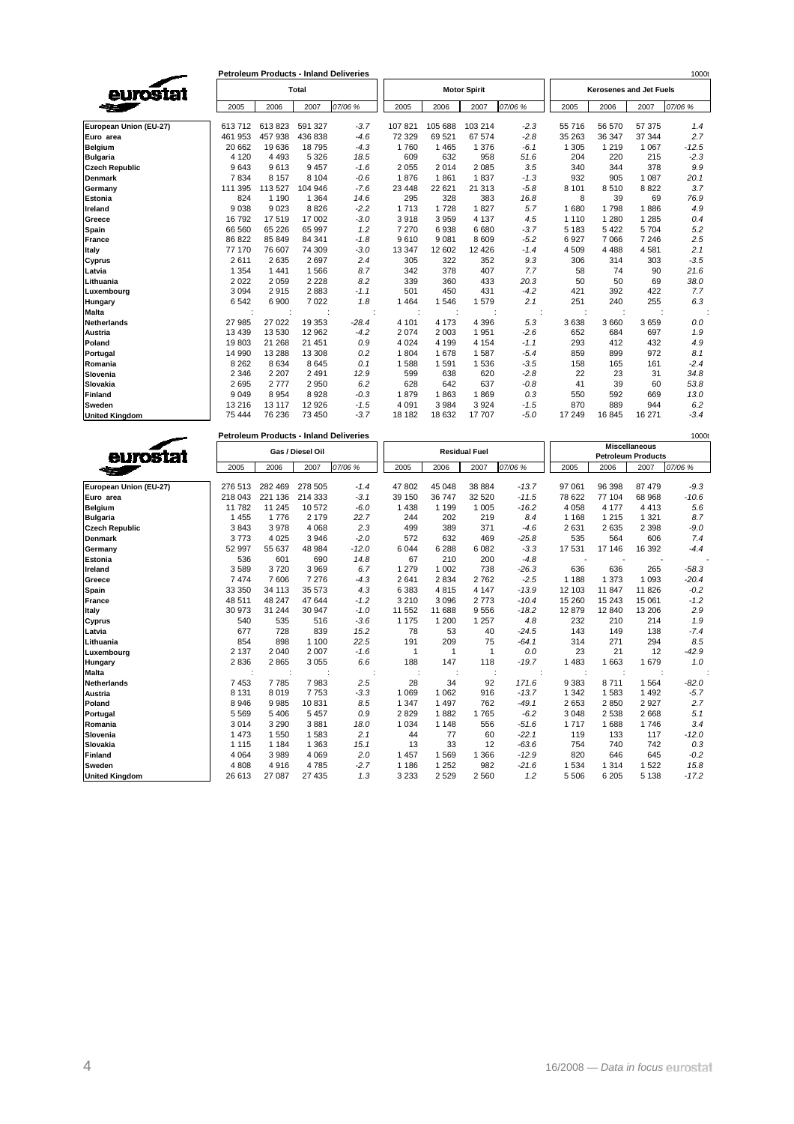|                        |         | <b>Petroleum Products - Inland Deliveries</b> |         | 1000t   |         |         |                     |         |                                |         |         |         |  |
|------------------------|---------|-----------------------------------------------|---------|---------|---------|---------|---------------------|---------|--------------------------------|---------|---------|---------|--|
| eurostat               |         |                                               | Total   |         |         |         | <b>Motor Spirit</b> |         | <b>Kerosenes and Jet Fuels</b> |         |         |         |  |
|                        | 2005    | 2006                                          | 2007    | 07/06 % | 2005    | 2006    | 2007                | 07/06 % | 2005                           | 2006    | 2007    | 07/06 % |  |
| European Union (EU-27) | 613712  | 613823                                        | 591 327 | $-3.7$  | 107 821 | 105 688 | 103 214             | $-2.3$  | 55716                          | 56 570  | 57 375  | 1.4     |  |
| Euro area              | 461 953 | 457 938                                       | 436 838 | $-4.6$  | 72 329  | 69 521  | 67 574              | $-2.8$  | 35 26 3                        | 36 347  | 37 344  | 2.7     |  |
| <b>Belgium</b>         | 20 662  | 19636                                         | 18795   | $-4.3$  | 1760    | 1 4 6 5 | 1 3 7 6             | $-6.1$  | 1 3 0 5                        | 1 2 1 9 | 1 0 6 7 | $-12.5$ |  |
| <b>Bulgaria</b>        | 4 1 2 0 | 4 4 9 3                                       | 5 3 2 6 | 18.5    | 609     | 632     | 958                 | 51.6    | 204                            | 220     | 215     | $-2.3$  |  |
| <b>Czech Republic</b>  | 9643    | 9613                                          | 9457    | $-1.6$  | 2 0 5 5 | 2014    | 2 0 8 5             | 3.5     | 340                            | 344     | 378     | 9.9     |  |
| <b>Denmark</b>         | 7834    | 8 1 5 7                                       | 8 1 0 4 | $-0.6$  | 1876    | 1861    | 1837                | $-1.3$  | 932                            | 905     | 1 0 8 7 | 20.1    |  |
| Germany                | 111 395 | 113 527                                       | 104 946 | $-7.6$  | 23 4 48 | 22 621  | 21 313              | $-5.8$  | 8 1 0 1                        | 8510    | 8822    | 3.7     |  |
| <b>Estonia</b>         | 824     | 1 1 9 0                                       | 1 3 6 4 | 14.6    | 295     | 328     | 383                 | 16.8    | 8                              | 39      | 69      | 76.9    |  |
| Ireland                | 9038    | 9023                                          | 8826    | $-2.2$  | 1713    | 1728    | 1827                | 5.7     | 1680                           | 1798    | 1886    | 4.9     |  |
| Greece                 | 16792   | 17519                                         | 17 002  | $-3.0$  | 3918    | 3 9 5 9 | 4 1 3 7             | 4.5     | 1 1 1 0                        | 1 2 8 0 | 1 2 8 5 | 0.4     |  |
| Spain                  | 66 560  | 65 2 26                                       | 65 997  | 1.2     | 7 2 7 0 | 6938    | 6 6 8 0             | $-3.7$  | 5 1 8 3                        | 5 4 2 2 | 5 704   | 5.2     |  |
| France                 | 86 822  | 85 849                                        | 84 341  | $-1.8$  | 9610    | 9 0 8 1 | 8 6 0 9             | $-5.2$  | 6927                           | 7 0 6 6 | 7 2 4 6 | 2.5     |  |
| Italy                  | 77 170  | 76 607                                        | 74 309  | $-3.0$  | 13 347  | 12 602  | 12 4 26             | $-1.4$  | 4 5 0 9                        | 4 4 8 8 | 4581    | 2.1     |  |
| Cyprus                 | 2611    | 2635                                          | 2697    | 2.4     | 305     | 322     | 352                 | 9.3     | 306                            | 314     | 303     | $-3.5$  |  |
| Latvia                 | 1 3 5 4 | 1 4 4 1                                       | 1566    | 8.7     | 342     | 378     | 407                 | 7.7     | 58                             | 74      | 90      | 21.6    |  |
| Lithuania              | 2022    | 2059                                          | 2 2 2 8 | 8.2     | 339     | 360     | 433                 | 20.3    | 50                             | 50      | 69      | 38.0    |  |
| Luxembourg             | 3094    | 2915                                          | 2883    | $-1.1$  | 501     | 450     | 431                 | $-4.2$  | 421                            | 392     | 422     | 7.7     |  |
| Hungary                | 6542    | 6900                                          | 7022    | 1.8     | 1 4 6 4 | 1546    | 1579                | 2.1     | 251                            | 240     | 255     | 6.3     |  |
| <b>Malta</b>           |         |                                               |         |         |         |         |                     |         |                                |         |         |         |  |
| <b>Netherlands</b>     | 27 985  | 27 0 22                                       | 19 353  | $-28.4$ | 4 101   | 4 1 7 3 | 4 3 9 6             | 5.3     | 3638                           | 3 6 6 0 | 3659    | 0.0     |  |
| <b>Austria</b>         | 13 4 39 | 13 530                                        | 12 962  | $-4.2$  | 2 0 7 4 | 2 0 0 3 | 1951                | $-2.6$  | 652                            | 684     | 697     | 1.9     |  |
| Poland                 | 19803   | 21 268                                        | 21 451  | 0.9     | 4 0 24  | 4 1 9 9 | 4 1 5 4             | $-1.1$  | 293                            | 412     | 432     | 4.9     |  |
| Portugal               | 14 990  | 13 2 8 8                                      | 13 308  | 0.2     | 1 804   | 1678    | 1587                | $-5.4$  | 859                            | 899     | 972     | 8.1     |  |
| Romania                | 8 2 6 2 | 8634                                          | 8645    | 0.1     | 1588    | 1 5 9 1 | 1536                | $-3.5$  | 158                            | 165     | 161     | $-2.4$  |  |
| Slovenia               | 2 3 4 6 | 2 2 0 7                                       | 2 4 9 1 | 12.9    | 599     | 638     | 620                 | $-2.8$  | 22                             | 23      | 31      | 34.8    |  |
| Slovakia               | 2695    | 2777                                          | 2950    | 6.2     | 628     | 642     | 637                 | $-0.8$  | 41                             | 39      | 60      | 53.8    |  |
| <b>Finland</b>         | 9 0 4 9 | 8954                                          | 8928    | $-0.3$  | 1879    | 1863    | 1869                | 0.3     | 550                            | 592     | 669     | 13.0    |  |
| Sweden                 | 13 216  | 13 117                                        | 12 9 26 | $-1.5$  | 4 0 9 1 | 3 9 8 4 | 3 9 2 4             | $-1.5$  | 870                            | 889     | 944     | 6.2     |  |
| <b>United Kinadom</b>  | 75 4 44 | 76 236                                        | 73 450  | $-3.7$  | 18 182  | 18 632  | 17 707              | $-5.0$  | 17 249                         | 16 845  | 16 271  | $-3.4$  |  |

|                        |         |         |                  | <b>Petroleum Products - Inland Deliveries</b> |              |         |                      |         |                                                   |         |         | 1000t   |
|------------------------|---------|---------|------------------|-----------------------------------------------|--------------|---------|----------------------|---------|---------------------------------------------------|---------|---------|---------|
| eurostat               |         |         | Gas / Diesel Oil |                                               |              |         | <b>Residual Fuel</b> |         | <b>Miscellaneous</b><br><b>Petroleum Products</b> |         |         |         |
|                        | 2005    | 2006    | 2007             | 07/06 %                                       | 2005         | 2006    | 2007                 | 07/06 % | 2005                                              | 2006    | 2007    | 07/06 % |
| European Union (EU-27) | 276 513 | 282 469 | 278 505          | $-1.4$                                        | 47 802       | 45 048  | 38 884               | $-13.7$ | 97 061                                            | 96 398  | 87 479  | $-9.3$  |
| Euro area              | 218 043 | 221 136 | 214 333          | $-3.1$                                        | 39 150       | 36 747  | 32 5 20              | $-11.5$ | 78 622                                            | 77 104  | 68 968  | $-10.6$ |
| <b>Belgium</b>         | 11782   | 11 245  | 10572            | $-6.0$                                        | 1 4 3 8      | 1 1 9 9 | 1 0 0 5              | $-16.2$ | 4 0 5 8                                           | 4 177   | 4 4 1 3 | 5.6     |
| <b>Bulgaria</b>        | 1455    | 1776    | 2 1 7 9          | 22.7                                          | 244          | 202     | 219                  | 8.4     | 1 1 6 8                                           | 1 2 1 5 | 1 3 2 1 | 8.7     |
| <b>Czech Republic</b>  | 3843    | 3978    | 4 0 6 8          | 2.3                                           | 499          | 389     | 371                  | $-4.6$  | 2631                                              | 2635    | 2 3 9 8 | $-9.0$  |
| <b>Denmark</b>         | 3773    | 4 0 2 5 | 3946             | $-2.0$                                        | 572          | 632     | 469                  | $-25.8$ | 535                                               | 564     | 606     | 7.4     |
| Germany                | 52 997  | 55 637  | 48 984           | $-12.0$                                       | 6 0 4 4      | 6 2 8 8 | 6 0 8 2              | $-3.3$  | 17531                                             | 17 146  | 16 392  | $-4.4$  |
| <b>Estonia</b>         | 536     | 601     | 690              | 14.8                                          | 67           | 210     | 200                  | $-4.8$  |                                                   |         |         |         |
| Ireland                | 3589    | 3720    | 3969             | 6.7                                           | 1 2 7 9      | 1 0 0 2 | 738                  | $-26.3$ | 636                                               | 636     | 265     | $-58.3$ |
| Greece                 | 7474    | 7606    | 7 2 7 6          | $-4.3$                                        | 2641         | 2 8 3 4 | 2762                 | $-2.5$  | 1 1 8 8                                           | 1 3 7 3 | 1 0 9 3 | $-20.4$ |
| Spain                  | 33 350  | 34 113  | 35 573           | 4.3                                           | 6 3 8 3      | 4815    | 4 1 4 7              | $-13.9$ | 12 103                                            | 11 847  | 11 826  | $-0.2$  |
| France                 | 48 511  | 48 247  | 47 644           | $-1.2$                                        | 3 2 1 0      | 3 0 9 6 | 2773                 | $-10.4$ | 15 260                                            | 15 243  | 15 061  | $-1.2$  |
| Italy                  | 30 973  | 31 244  | 30 947           | $-1.0$                                        | 11 552       | 11 688  | 9556                 | $-18.2$ | 12879                                             | 12 840  | 13 206  | 2.9     |
| <b>Cyprus</b>          | 540     | 535     | 516              | $-3.6$                                        | 1 1 7 5      | 1 200   | 1 2 5 7              | 4.8     | 232                                               | 210     | 214     | 1.9     |
| Latvia                 | 677     | 728     | 839              | 15.2                                          | 78           | 53      | 40                   | $-24.5$ | 143                                               | 149     | 138     | $-7.4$  |
| Lithuania              | 854     | 898     | 1 100            | 22.5                                          | 191          | 209     | 75                   | $-64.1$ | 314                                               | 271     | 294     | 8.5     |
| Luxembourg             | 2 1 3 7 | 2 0 4 0 | 2 0 0 7          | $-1.6$                                        | $\mathbf{1}$ | 1       | $\mathbf{1}$         | 0.0     | 23                                                | 21      | 12      | $-42.9$ |
| Hungary                | 2836    | 2865    | 3 0 5 5          | 6.6                                           | 188          | 147     | 118                  | $-19.7$ | 1483                                              | 1 663   | 1679    | 1.0     |
| <b>Malta</b>           |         |         |                  |                                               |              |         |                      |         |                                                   |         |         |         |
| <b>Netherlands</b>     | 7453    | 7785    | 7983             | 2.5                                           | 28           | 34      | 92                   | 171.6   | 9383                                              | 8711    | 1 5 6 4 | $-82.0$ |
| Austria                | 8 1 3 1 | 8019    | 7753             | $-3.3$                                        | 1 0 6 9      | 1 0 6 2 | 916                  | $-13.7$ | 1 3 4 2                                           | 1 5 8 3 | 1 4 9 2 | $-5.7$  |
| Poland                 | 8946    | 9985    | 10831            | 8.5                                           | 1 3 4 7      | 1 4 9 7 | 762                  | $-49.1$ | 2653                                              | 2850    | 2 9 2 7 | 2.7     |
| Portugal               | 5569    | 5406    | 5 4 5 7          | 0.9                                           | 2829         | 1882    | 1765                 | $-6.2$  | 3048                                              | 2 5 3 8 | 2668    | 5.1     |
| Romania                | 3014    | 3 2 9 0 | 3881             | 18.0                                          | 1 0 3 4      | 1 1 4 8 | 556                  | $-51.6$ | 1717                                              | 1688    | 1746    | 3.4     |
| Slovenia               | 1473    | 1550    | 1583             | 2.1                                           | 44           | 77      | 60                   | $-22.1$ | 119                                               | 133     | 117     | $-12.0$ |
| Slovakia               | 1 1 1 5 | 1 1 8 4 | 1 3 6 3          | 15.1                                          | 13           | 33      | 12                   | $-63.6$ | 754                                               | 740     | 742     | 0.3     |
| <b>Finland</b>         | 4 0 64  | 3989    | 4 0 6 9          | 2.0                                           | 1 4 5 7      | 1 5 6 9 | 1 3 6 6              | $-12.9$ | 820                                               | 646     | 645     | $-0.2$  |
| Sweden                 | 4808    | 4916    | 4785             | $-2.7$                                        | 1 1 8 6      | 1 2 5 2 | 982                  | $-21.6$ | 1534                                              | 1 3 1 4 | 1522    | 15.8    |
| <b>United Kingdom</b>  | 26 613  | 27 087  | 27 435           | 1.3                                           | 3 2 3 3      | 2 5 2 9 | 2 5 6 0              | 1.2     | 5 5 0 6                                           | 6 205   | 5 1 3 8 | $-17.2$ |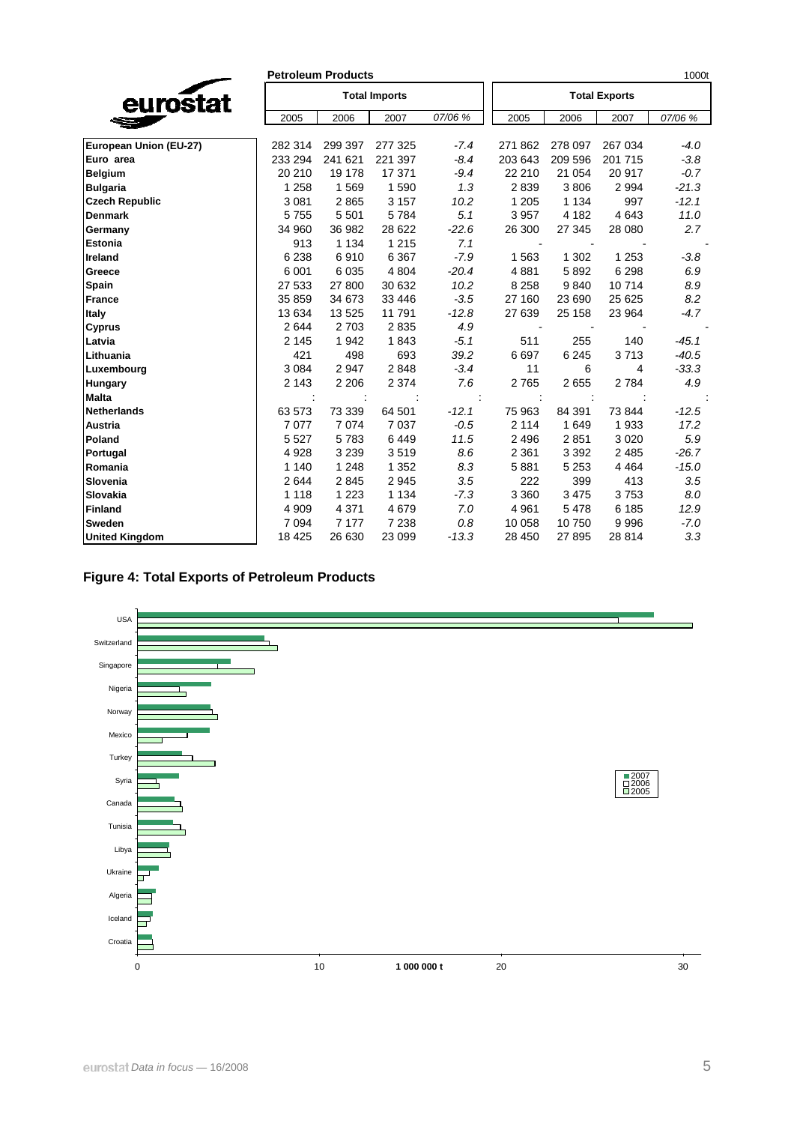|                        |         | <b>Petroleum Products</b> |                      |         |         |         |                      | 1000t   |
|------------------------|---------|---------------------------|----------------------|---------|---------|---------|----------------------|---------|
| eurostat               |         |                           | <b>Total Imports</b> |         |         |         | <b>Total Exports</b> |         |
|                        | 2005    | 2006                      | 2007                 | 07/06 % | 2005    | 2006    | 2007                 | 07/06 % |
| European Union (EU-27) | 282 314 | 299 397                   | 277 325              | $-7.4$  | 271 862 | 278 097 | 267 034              | $-4.0$  |
| Euro area              | 233 294 | 241 621                   | 221 397              | $-8.4$  | 203 643 | 209 596 | 201 715              | $-3.8$  |
| <b>Belgium</b>         | 20 210  | 19 178                    | 17 371               | $-9.4$  | 22 210  | 21 054  | 20 917               | $-0.7$  |
| <b>Bulgaria</b>        | 1 2 5 8 | 1569                      | 1590                 | 1.3     | 2839    | 3806    | 2 9 9 4              | $-21.3$ |
| <b>Czech Republic</b>  | 3 0 8 1 | 2865                      | 3 1 5 7              | 10.2    | 1 2 0 5 | 1 1 3 4 | 997                  | $-12.1$ |
| <b>Denmark</b>         | 5755    | 5 5 0 1                   | 5784                 | 5.1     | 3 9 5 7 | 4 1 8 2 | 4 6 4 3              | 11.0    |
| Germany                | 34 960  | 36 982                    | 28 6 22              | $-22.6$ | 26 300  | 27 345  | 28 080               | 2.7     |
| <b>Estonia</b>         | 913     | 1 1 3 4                   | 1 2 1 5              | 7.1     |         |         |                      |         |
| Ireland                | 6 2 3 8 | 6910                      | 6 3 6 7              | $-7.9$  | 1563    | 1 3 0 2 | 1 2 5 3              | $-3.8$  |
| Greece                 | 6 0 0 1 | 6 0 3 5                   | 4 8 0 4              | $-20.4$ | 4881    | 5892    | 6 2 9 8              | 6.9     |
| Spain                  | 27 533  | 27 800                    | 30 632               | 10.2    | 8 2 5 8 | 9840    | 10714                | 8.9     |
| <b>France</b>          | 35 859  | 34 673                    | 33 446               | $-3.5$  | 27 160  | 23 690  | 25 6 25              | 8.2     |
| Italy                  | 13 634  | 13 5 25                   | 11791                | $-12.8$ | 27 639  | 25 158  | 23 964               | $-4.7$  |
| <b>Cyprus</b>          | 2644    | 2 7 0 3                   | 2835                 | 4.9     |         |         |                      |         |
| Latvia                 | 2 1 4 5 | 1942                      | 1843                 | $-5.1$  | 511     | 255     | 140                  | $-45.1$ |
| Lithuania              | 421     | 498                       | 693                  | 39.2    | 6697    | 6 2 4 5 | 3713                 | $-40.5$ |
| Luxembourg             | 3 0 8 4 | 2947                      | 2848                 | $-3.4$  | 11      | 6       | 4                    | $-33.3$ |
| <b>Hungary</b>         | 2 1 4 3 | 2 2 0 6                   | 2 3 7 4              | 7.6     | 2765    | 2655    | 2 7 8 4              | 4.9     |
| <b>Malta</b>           |         |                           |                      |         |         |         |                      |         |
| <b>Netherlands</b>     | 63 573  | 73 339                    | 64 501               | $-12.1$ | 75 963  | 84 391  | 73 844               | $-12.5$ |
| Austria                | 7 0 7 7 | 7074                      | 7 0 3 7              | $-0.5$  | 2 1 1 4 | 1649    | 1933                 | 17.2    |
| Poland                 | 5 5 2 7 | 5783                      | 6449                 | 11.5    | 2 4 9 6 | 2851    | 3 0 2 0              | 5.9     |
| Portugal               | 4 9 28  | 3 2 3 9                   | 3519                 | 8.6     | 2 3 6 1 | 3 3 9 2 | 2 4 8 5              | $-26.7$ |
| Romania                | 1 1 4 0 | 1 2 4 8                   | 1 3 5 2              | 8.3     | 5881    | 5 2 5 3 | 4 4 6 4              | $-15.0$ |
| Slovenia               | 2644    | 2845                      | 2945                 | 3.5     | 222     | 399     | 413                  | 3.5     |
| Slovakia               | 1 1 1 8 | 1 2 2 3                   | 1 1 3 4              | $-7.3$  | 3 3 6 0 | 3 4 7 5 | 3753                 | 8.0     |
| <b>Finland</b>         | 4 9 0 9 | 4 3 7 1                   | 4679                 | 7.0     | 4 9 61  | 5 4 7 8 | 6 185                | 12.9    |
| <b>Sweden</b>          | 7 0 9 4 | 7 1 7 7                   | 7 2 3 8              | 0.8     | 10 058  | 10750   | 9996                 | $-7.0$  |
| <b>United Kingdom</b>  | 18 4 25 | 26 630                    | 23 099               | $-13.3$ | 28 450  | 27 895  | 28 814               | 3.3     |

## **Figure 4: Total Exports of Petroleum Products**

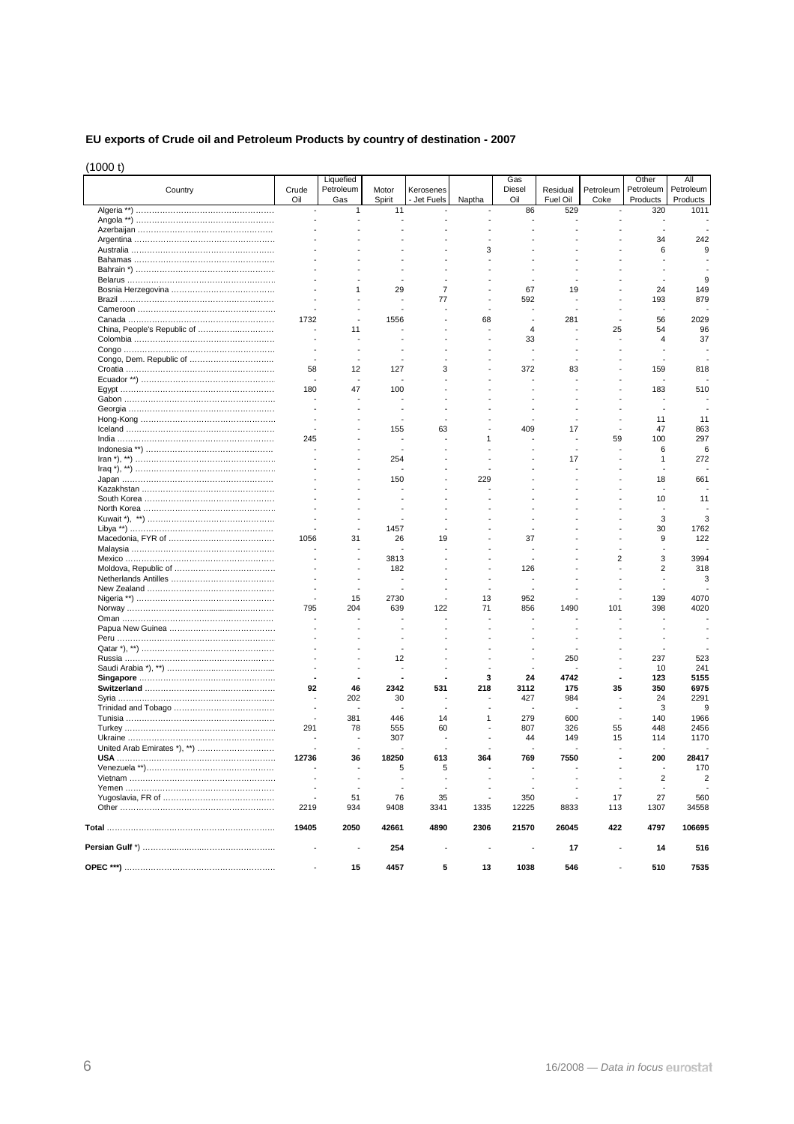### **EU exports of Crude oil and Petroleum Products by country of destination - 2007**

(1000 t)

|                             |                | Liquefied |        |                |        | Gas            |          |                | Other          | All           |
|-----------------------------|----------------|-----------|--------|----------------|--------|----------------|----------|----------------|----------------|---------------|
| Country                     | Crude          | Petroleum | Motor  | Kerosenes      |        | <b>Diesel</b>  | Residual | Petroleum      | Petroleum      | Petroleum     |
|                             | Oil            | Gas       | Spirit | Jet Fuels      | Naptha | Oil            | Fuel Oil | Coke           | Products       | Products      |
|                             | $\overline{a}$ | 1         | 11     | ÷,             |        | 86             | 529      |                | 320            | 1011          |
|                             |                |           |        |                |        |                |          |                |                |               |
|                             |                |           |        |                |        |                |          |                | 34             | 242           |
|                             |                |           |        |                | 3      |                |          |                | 6              | g             |
|                             |                |           |        |                |        |                |          |                |                |               |
|                             |                |           |        |                |        |                |          |                |                |               |
|                             |                |           |        |                |        |                |          |                |                |               |
|                             |                | 1         | 29     | $\overline{7}$ |        | 67             | 19       |                | 24             | 149           |
|                             |                |           |        | 77             |        | 592            |          |                | 193            | 879           |
|                             |                |           |        |                |        |                |          |                | ٠.             |               |
|                             | 1732           |           | 1556   |                | 68     |                | 281      |                | 56             | 2029          |
| China, People's Republic of |                | 11        |        |                |        | $\overline{4}$ |          | 25             | 54             | 96            |
|                             | $\overline{a}$ |           |        |                |        | 33             |          |                | $\overline{4}$ | 37            |
|                             | $\overline{a}$ |           |        | $\overline{a}$ |        | $\overline{a}$ |          |                |                |               |
|                             |                |           |        |                |        |                |          |                |                |               |
|                             | 58             | 12        | 127    | 3              |        | 372            | 83       |                | 159            | 818           |
|                             |                |           |        |                |        |                |          |                |                |               |
|                             | 180            | 47        | 100    |                |        |                |          |                | 183            | 510           |
|                             |                |           |        |                |        |                |          |                |                |               |
|                             |                |           |        |                |        |                |          |                |                |               |
|                             |                |           |        |                |        |                |          |                | 11             | 11            |
|                             |                |           | 155    | 63             |        | 409            | 17       |                | 47             | 863           |
|                             | 245            |           |        |                |        |                |          | 59             | 100            | 297           |
|                             |                |           |        |                |        |                |          |                | 6              | 6             |
|                             |                |           | 254    |                |        |                | 17       |                | 1              | 272           |
|                             |                |           |        |                |        |                |          |                |                |               |
|                             |                |           | 150    |                | 229    |                |          |                | 18             | 661           |
|                             |                |           |        |                |        |                |          |                |                |               |
|                             |                |           |        |                |        |                |          |                | 10             | 11            |
|                             |                |           |        |                |        |                |          |                |                |               |
|                             |                |           |        |                |        |                |          |                | 3              | 3             |
|                             |                |           | 1457   |                |        |                |          |                | 30             | 1762          |
|                             | 1056           | 31        | 26     | 19             |        | 37             |          |                | 9              | 122           |
|                             |                |           |        |                |        |                |          |                |                |               |
|                             |                |           | 3813   |                |        |                |          | $\overline{2}$ | 3              | 3994          |
|                             |                |           | 182    |                |        | 126            |          |                | $\overline{2}$ | 318           |
|                             |                |           |        |                |        |                |          |                |                | 3             |
|                             |                |           |        |                |        |                |          |                |                |               |
|                             | $\overline{a}$ | 15        | 2730   | $\overline{a}$ | 13     | 952            |          |                | 139            | 4070          |
|                             | 795            | 204       | 639    | 122            | 71     | 856            | 1490     | 101            | 398            | 4020          |
|                             |                |           |        |                |        |                |          |                |                |               |
|                             |                |           |        |                |        |                |          |                |                |               |
|                             |                |           |        |                |        |                |          |                |                |               |
|                             |                |           |        |                |        |                |          |                |                |               |
|                             |                |           | 12     |                |        |                | 250      |                | 237            | 523           |
|                             |                |           |        |                |        |                |          |                | 10             | 241           |
|                             |                |           |        |                | 3      | 24             | 4742     |                | 123            | 5155          |
|                             | 92             | 46        | 2342   | 531            | 218    | 3112           | 175      | 35             | 350            | 6975          |
|                             |                | 202       | 30     |                |        | 427            | 984      |                | 24             | 2291          |
|                             | $\overline{a}$ |           |        |                |        |                |          |                | 3              | <sub>9</sub>  |
|                             |                | 381       | 446    | 14             | 1      | 279            | 600      |                | 140            | 1966          |
|                             | 291            | 78        | 555    | 60             |        | 807            | 326      | 55             | 448            | 2456          |
|                             |                |           | 307    | ٠.             |        | 44             | 149      | 15             | 114            | 1170          |
|                             |                |           |        |                |        |                |          |                |                |               |
|                             | 12736          | 36        | 18250  | 613            | 364    | 769            | 7550     |                | 200            | 28417         |
|                             |                |           | 5      | 5              |        |                |          |                |                | 170           |
|                             |                |           |        |                |        |                |          |                | $\sqrt{2}$     | $\mathcal{P}$ |
|                             |                |           |        |                |        |                |          |                |                |               |
|                             |                | 51        | 76     | 35             |        | 350            |          | 17             | 27             | 560           |
|                             | 2219           | 934       | 9408   | 3341           | 1335   | 12225          | 8833     | 113            | 1307           | 34558         |
|                             | 19405          | 2050      | 42661  | 4890           | 2306   | 21570          | 26045    | 422            | 4797           | 106695        |
|                             |                |           | 254    |                |        |                | 17       |                | 14             | 516           |
|                             |                | 15        | 4457   | 5              | 13     | 1038           | 546      |                | 510            | 7535          |
|                             |                |           |        |                |        |                |          |                |                |               |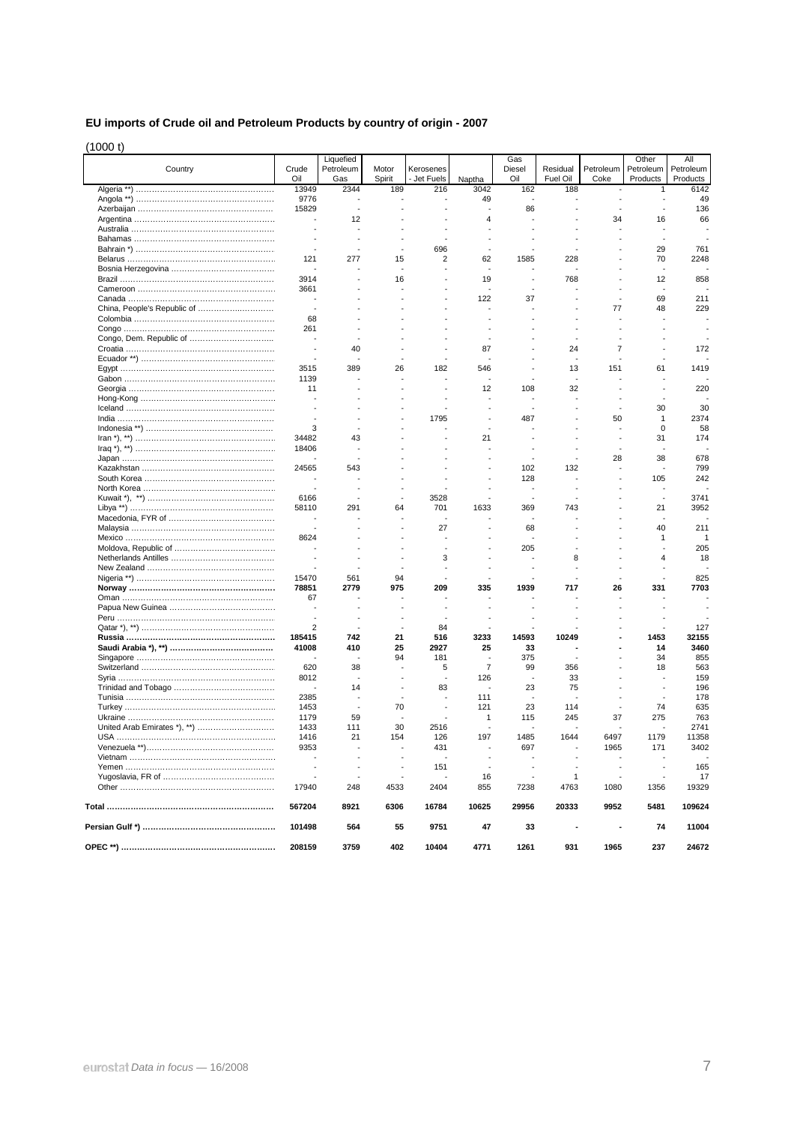## **EU imports of Crude oil and Petroleum Products by country of origin - 2007**

(1000 t)

|                             |                          | Liquefied        |                 |                          |                | Gas           |                      |                          | Other                 | All                   |
|-----------------------------|--------------------------|------------------|-----------------|--------------------------|----------------|---------------|----------------------|--------------------------|-----------------------|-----------------------|
| Country                     | Crude<br>Oil             | Petroleum<br>Gas | Motor<br>Spirit | Kerosenes<br>- Jet Fuels | Naptha         | Diesel<br>Oil | Residual<br>Fuel Oil | Petroleum<br>Coke        | Petroleum<br>Products | Petroleum<br>Products |
|                             | 13949                    | 2344             | 189             | 216                      | 3042           | 162           | 188                  | $\overline{\phantom{a}}$ | 1                     | 6142                  |
|                             | 9776                     |                  |                 |                          | 49             |               |                      |                          |                       | 49                    |
|                             | 15829                    |                  |                 |                          |                | 86            |                      |                          |                       | 136                   |
|                             | $\overline{\phantom{a}}$ | 12               |                 |                          | 4              |               |                      | 34                       | 16                    | 66                    |
|                             |                          |                  |                 |                          |                |               |                      |                          |                       |                       |
|                             |                          |                  |                 |                          |                |               |                      |                          | Ĭ.                    |                       |
|                             |                          |                  |                 | 696                      |                |               |                      |                          | 29                    | 761                   |
|                             | 121                      | 277              | 15              | 2                        | 62             | 1585          | 228                  |                          | 70                    | 2248                  |
|                             |                          |                  | ÷,              | ÷                        | ÷              |               |                      |                          | ÷,                    |                       |
|                             | 3914                     |                  | 16              |                          | 19             |               | 768                  |                          | 12<br>÷,              | 858                   |
|                             | 3661<br>÷,               |                  |                 |                          | 122            | 37            |                      |                          | 69                    | 211                   |
| China, People's Republic of | ÷,                       |                  |                 |                          | ÷,             |               |                      | 77                       | 48                    | 229                   |
|                             | 68                       |                  |                 |                          |                |               |                      |                          |                       |                       |
|                             | 261                      |                  |                 |                          |                |               |                      |                          |                       |                       |
|                             |                          |                  |                 |                          |                |               |                      |                          |                       |                       |
|                             |                          | 40               |                 |                          | 87             |               | 24                   | 7                        |                       | 172                   |
|                             |                          |                  |                 |                          |                |               |                      |                          |                       |                       |
|                             | 3515                     | 389              | 26              | 182                      | 546            |               | 13                   | 151                      | 61                    | 1419                  |
|                             | 1139                     |                  |                 |                          |                |               |                      |                          |                       |                       |
|                             | 11                       |                  |                 |                          | 12             | 108           | 32                   |                          |                       | 220                   |
|                             |                          |                  |                 |                          |                |               |                      |                          |                       |                       |
|                             |                          |                  |                 |                          |                |               |                      |                          | 30                    | 30                    |
|                             |                          |                  |                 | 1795                     |                | 487           |                      | 50                       | 1                     | 2374                  |
|                             | 3                        |                  |                 |                          |                |               |                      |                          | 0                     | 58                    |
|                             | 34482                    | 43               |                 |                          | 21             |               |                      |                          | 31                    | 174                   |
|                             | 18406                    |                  |                 |                          |                |               |                      |                          |                       |                       |
|                             |                          |                  |                 |                          |                |               |                      | 28                       | 38                    | 678                   |
|                             | 24565                    | 543              |                 |                          |                | 102           | 132                  |                          | ÷,                    | 799                   |
|                             |                          |                  |                 |                          |                | 128           |                      |                          | 105                   | 242                   |
|                             |                          |                  |                 |                          |                |               |                      |                          |                       |                       |
|                             | 6166                     |                  |                 | 3528                     |                |               |                      |                          |                       | 3741                  |
|                             | 58110                    | 291              | 64              | 701                      | 1633           | 369           | 743                  |                          | 21                    | 3952                  |
|                             |                          |                  |                 | 27                       |                | 68            |                      |                          | 40                    | 211                   |
|                             | 8624                     |                  |                 |                          |                |               |                      |                          | 1                     | 1                     |
|                             |                          |                  |                 |                          |                | 205           |                      |                          |                       | 205                   |
|                             |                          |                  |                 | 3                        |                |               | 8                    |                          | 4                     | 18                    |
|                             |                          |                  |                 |                          |                |               |                      |                          |                       |                       |
|                             | 15470                    | 561              | 94              |                          |                |               |                      |                          |                       | 825                   |
|                             | 78851                    | 2779             | 975             | 209                      | 335            | 1939          | 717                  | 26                       | 331                   | 7703                  |
|                             | 67                       |                  |                 |                          |                |               |                      |                          |                       |                       |
|                             |                          |                  |                 |                          |                |               |                      |                          |                       |                       |
|                             |                          |                  |                 |                          |                |               |                      |                          |                       |                       |
|                             | $\overline{2}$           |                  |                 | 84                       |                |               |                      |                          |                       | 127                   |
|                             | 185415                   | 742              | 21              | 516                      | 3233           | 14593         | 10249                |                          | 1453                  | 32155                 |
|                             | 41008                    | 410              | 25              | 2927                     | 25             | 33            |                      |                          | 14                    | 3460                  |
|                             |                          |                  | 94              | 181                      |                | 375           |                      |                          | 34                    | 855                   |
|                             | 620                      | 38               |                 | 5                        | $\overline{7}$ | 99            | 356                  |                          | 18                    | 563                   |
|                             | 8012                     |                  |                 | ÷,                       | 126            |               | 33                   |                          |                       | 159                   |
|                             |                          | 14               |                 | 83                       |                | 23            | 75                   |                          | ÷,                    | 196                   |
|                             | 2385                     |                  |                 | ÷,                       | 111            |               |                      |                          |                       | 178                   |
|                             | 1453                     |                  | 70              | ÷,                       | 121            | 23            | 114                  |                          | 74                    | 635                   |
|                             | 1179                     | 59               |                 |                          | 1              | 115           | 245                  | 37                       | 275                   | 763                   |
|                             | 1433                     | 111              | 30              | 2516                     |                |               |                      |                          |                       | 2741                  |
|                             | 1416                     | 21               | 154             | 126                      | 197            | 1485          | 1644                 | 6497                     | 1179                  | 11358                 |
|                             | 9353                     |                  |                 | 431                      |                | 697           |                      | 1965                     | 171                   | 3402                  |
|                             |                          | ÷,               |                 | 151                      |                |               |                      |                          |                       | 165                   |
|                             |                          |                  |                 |                          | 16             | ÷             | 1                    |                          |                       | 17                    |
|                             | 17940                    | 248              | 4533            | 2404                     | 855            | 7238          | 4763                 | 1080                     | 1356                  | 19329                 |
|                             |                          |                  |                 |                          |                |               |                      |                          |                       |                       |
|                             | 567204                   | 8921             | 6306            | 16784                    | 10625          | 29956         | 20333                | 9952                     | 5481                  | 109624                |
|                             | 101498                   | 564              | 55              | 9751                     | 47             | 33            |                      |                          | 74                    | 11004                 |
|                             | 208159                   | 3759             | 402             | 10404                    | 4771           | 1261          | 931                  | 1965                     | 237                   | 24672                 |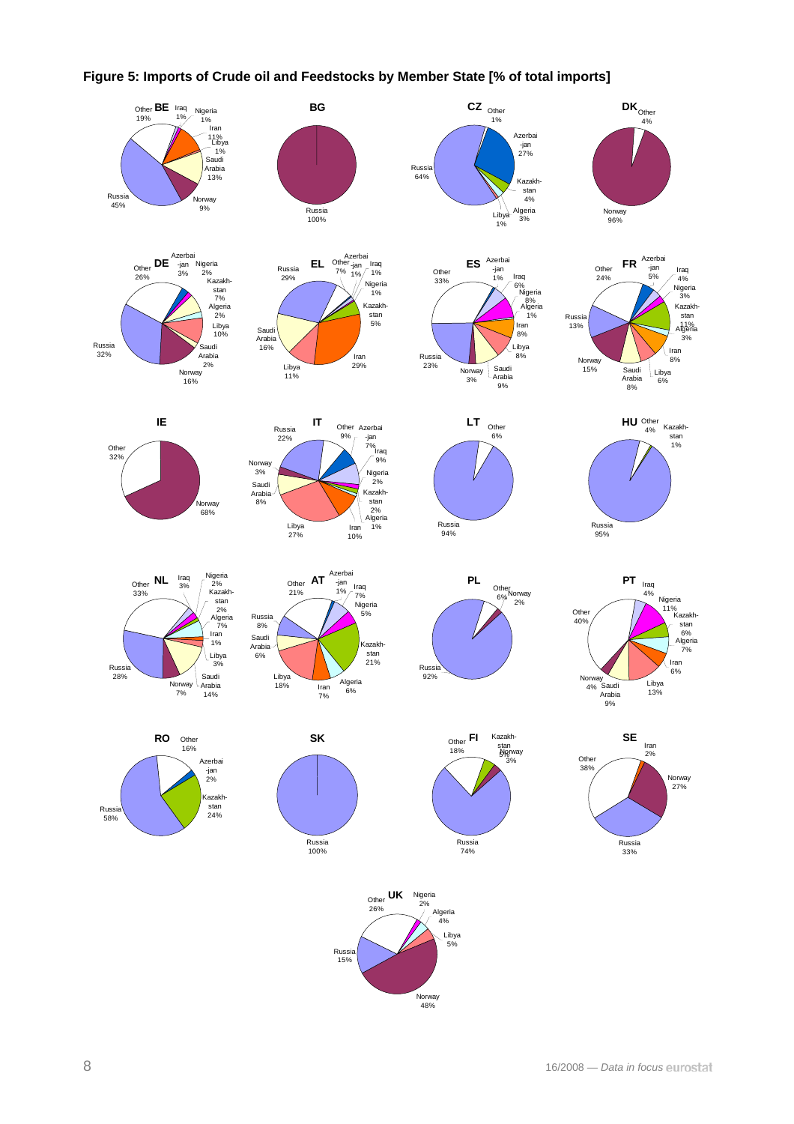

### **Figure 5: Imports of Crude oil and Feedstocks by Member State [% of total imports]**